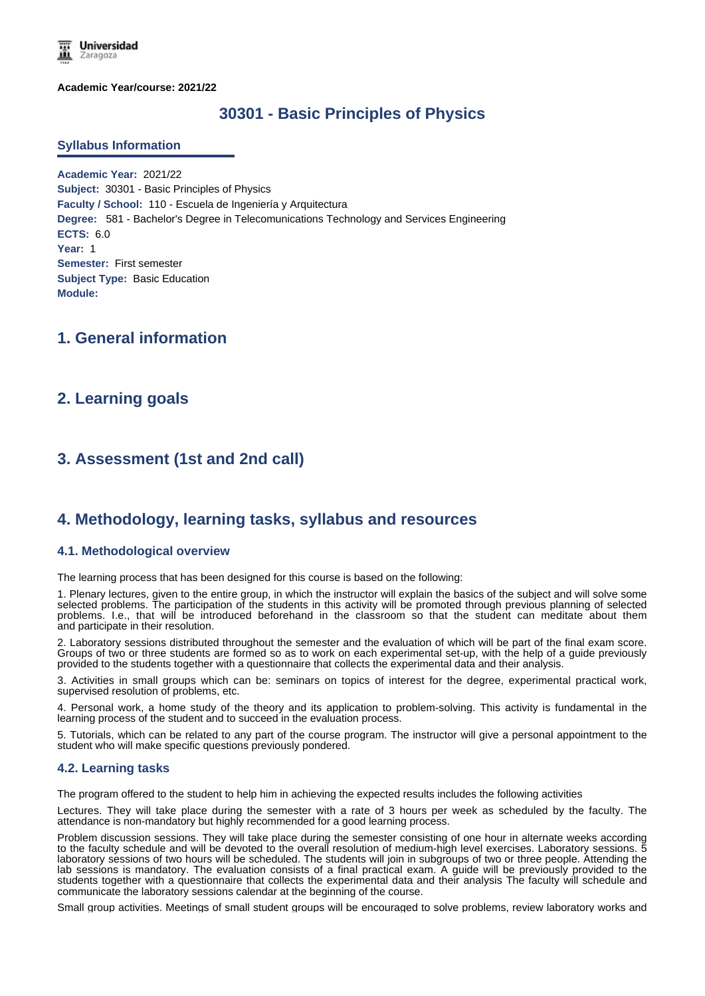

**Academic Year/course: 2021/22**

# **30301 - Basic Principles of Physics**

#### **Syllabus Information**

**Academic Year:** 2021/22 **Subject:** 30301 - Basic Principles of Physics **Faculty / School:** 110 - Escuela de Ingeniería y Arquitectura **Degree:** 581 - Bachelor's Degree in Telecomunications Technology and Services Engineering **ECTS:** 6.0 **Year:** 1 **Semester:** First semester **Subject Type:** Basic Education **Module:**

# **1. General information**

## **2. Learning goals**

# **3. Assessment (1st and 2nd call)**

### **4. Methodology, learning tasks, syllabus and resources**

#### **4.1. Methodological overview**

The learning process that has been designed for this course is based on the following:

1. Plenary lectures, given to the entire group, in which the instructor will explain the basics of the subject and will solve some selected problems. The participation of the students in this activity will be promoted through previous planning of selected problems. I.e., that will be introduced beforehand in the classroom so that the student can meditate about them and participate in their resolution.

2. Laboratory sessions distributed throughout the semester and the evaluation of which will be part of the final exam score. Groups of two or three students are formed so as to work on each experimental set-up, with the help of a guide previously provided to the students together with a questionnaire that collects the experimental data and their analysis.

3. Activities in small groups which can be: seminars on topics of interest for the degree, experimental practical work, supervised resolution of problems, etc.

4. Personal work, a home study of the theory and its application to problem-solving. This activity is fundamental in the learning process of the student and to succeed in the evaluation process.

5. Tutorials, which can be related to any part of the course program. The instructor will give a personal appointment to the student who will make specific questions previously pondered.

### **4.2. Learning tasks**

The program offered to the student to help him in achieving the expected results includes the following activities

Lectures. They will take place during the semester with a rate of 3 hours per week as scheduled by the faculty. The attendance is non-mandatory but highly recommended for a good learning process.

Problem discussion sessions. They will take place during the semester consisting of one hour in alternate weeks according to the faculty schedule and will be devoted to the overall resolution of medium-high level exercises. Laboratory sessions. 5 laboratory sessions of two hours will be scheduled. The students will join in subgroups of two or three people. Attending the lab sessions is mandatory. The evaluation consists of a final practical exam. A guide will be previously provided to the students together with a questionnaire that collects the experimental data and their analysis The faculty will schedule and communicate the laboratory sessions calendar at the beginning of the course.

Small group activities. Meetings of small student groups will be encouraged to solve problems, review laboratory works and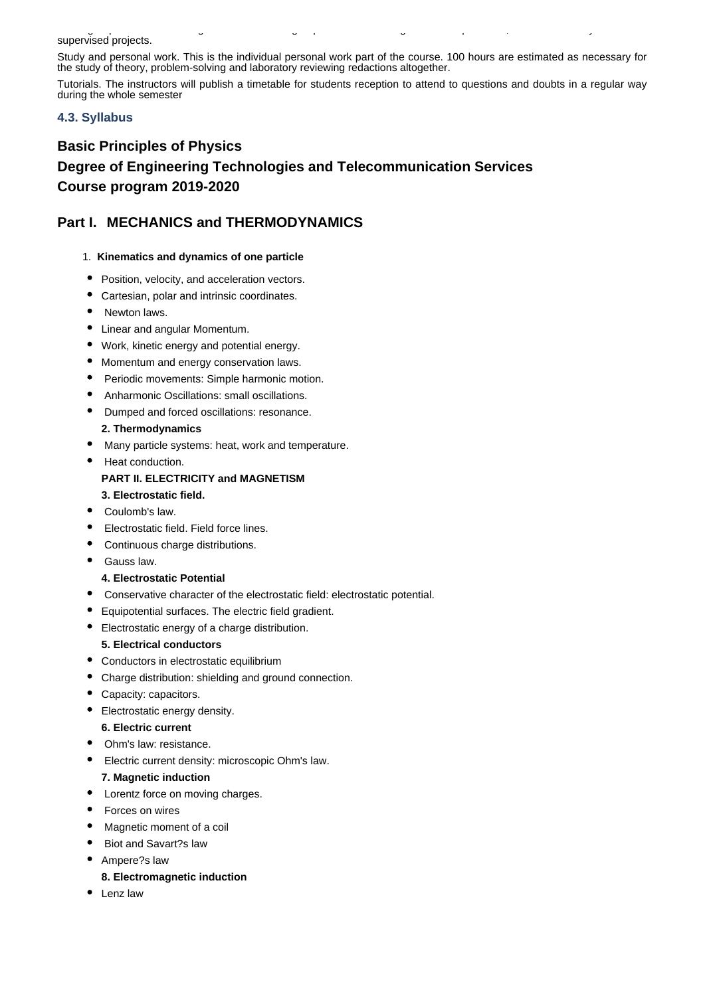#### Small group activities. Meetings of small student groups will be encouraged to solve problems, review laboratory works and supervised projects.

Study and personal work. This is the individual personal work part of the course. 100 hours are estimated as necessary for the study of theory, problem-solving and laboratory reviewing redactions altogether.

Tutorials. The instructors will publish a timetable for students reception to attend to questions and doubts in a regular way during the whole semester

### **4.3. Syllabus**

# **Basic Principles of Physics Degree of Engineering Technologies and Telecommunication Services Course program 2019-2020**

# **Part I. MECHANICS and THERMODYNAMICS**

- 1. **Kinematics and dynamics of one particle**
- Position, velocity, and acceleration vectors.
- Cartesian, polar and intrinsic coordinates.
- Newton laws.
- Linear and angular Momentum.
- Work, kinetic energy and potential energy.
- Momentum and energy conservation laws.
- Periodic movements: Simple harmonic motion.
- Anharmonic Oscillations: small oscillations.
- Dumped and forced oscillations: resonance.

### **2. Thermodynamics**

- Many particle systems: heat, work and temperature.
- Heat conduction. **PART II. ELECTRICITY and MAGNETISM**
- **3. Electrostatic field.**
- Coulomb's law.
- Electrostatic field. Field force lines.
- Continuous charge distributions.
- Gauss law.

### **4. Electrostatic Potential**

- Conservative character of the electrostatic field: electrostatic potential.
- Equipotential surfaces. The electric field gradient.  $\bullet$
- Electrostatic energy of a charge distribution.

### **5. Electrical conductors**

- Conductors in electrostatic equilibrium
- $\bullet$ Charge distribution: shielding and ground connection.
- Capacity: capacitors.
- Electrostatic energy density.

### **6. Electric current**

- Ohm's law: resistance.
- Electric current density: microscopic Ohm's law.

### **7. Magnetic induction**

- Lorentz force on moving charges.
- Forces on wires
- Magnetic moment of a coil
- Biot and Savart?s law
- Ampere?s law

### **8. Electromagnetic induction**

• Lenz law